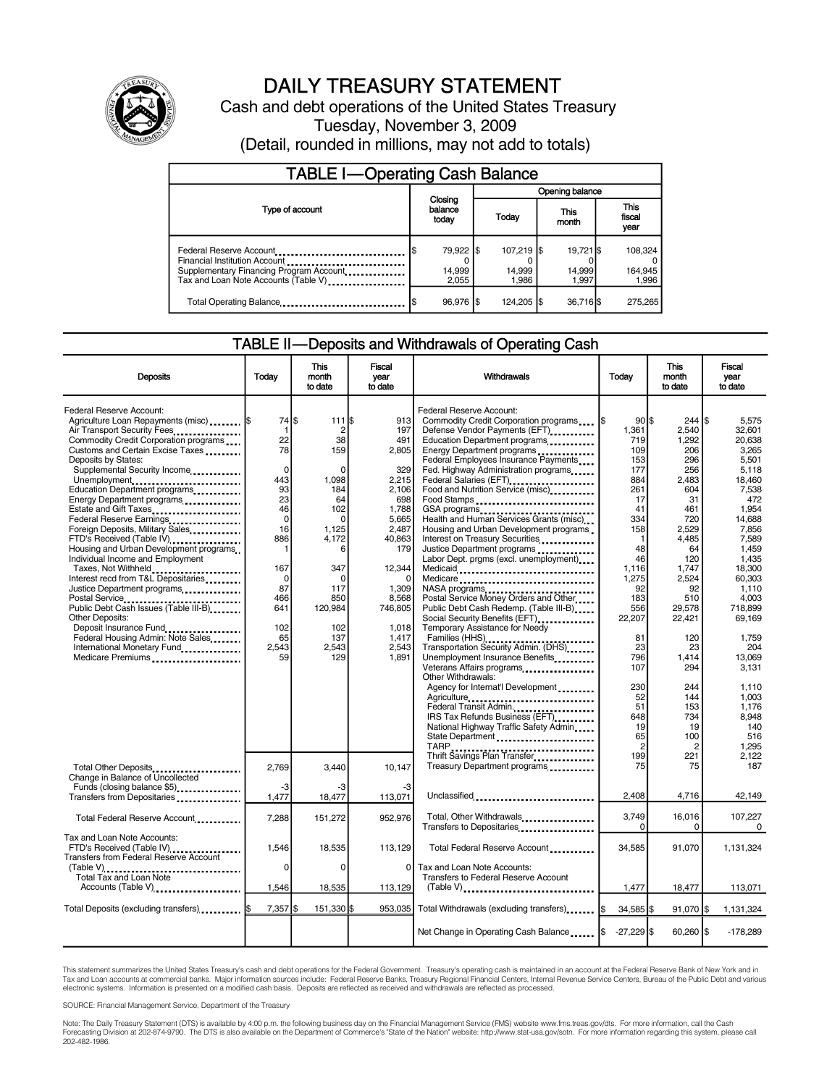

## DAILY TREASURY STATEMENT

Cash and debt operations of the United States Treasury Tuesday, November 3, 2009 (Detail, rounded in millions, may not add to totals)

| <b>TABLE I-Operating Cash Balance</b>                                                                                                       |     |                              |  |                               |  |                              |  |                             |  |
|---------------------------------------------------------------------------------------------------------------------------------------------|-----|------------------------------|--|-------------------------------|--|------------------------------|--|-----------------------------|--|
|                                                                                                                                             |     |                              |  | Opening balance               |  |                              |  |                             |  |
| Type of account                                                                                                                             |     | Closing<br>balance<br>today  |  | Today                         |  | This<br>month                |  | This<br>fiscal<br>year      |  |
| Federal Reserve Account<br>Financial Institution Account<br>Supplementary Financing Program Account<br>Tax and Loan Note Accounts (Table V) | I\$ | 79,922 \$<br>14.999<br>2.055 |  | 107,219 \$<br>14,999<br>1.986 |  | 19,721 \$<br>14.999<br>1.997 |  | 108,324<br>164,945<br>1.996 |  |
| Total Operating Balance                                                                                                                     |     | 96.976 \$                    |  | 124.205 S                     |  | 36.716                       |  | 275,265                     |  |

## TABLE II—Deposits and Withdrawals of Operating Cash

| <b>Deposits</b>                                                                                                                                                                                                                                                                                                                                                                                                                                                                                                                                                                                                                                                                                                                                                                                                                      | Todav                                                                                                                                                                         | This<br>month<br>to date                                                                                                                                                           | Fiscal<br>year<br>to date                                                                                                                                                         | Withdrawals                                                                                                                                                                                                                                                                                                                                                                                                                                                                                                                                                                                                                                                                                                                                                                                                                                                                                                                                                                                                                                                                                                                                                                                       | Today                                                                                                                                                                                                                                         | This<br>month<br>to date                                                                                                                                                                                                                                      | Fiscal<br>vear<br>to date                                                                                                                                                                                                                                                                      |
|--------------------------------------------------------------------------------------------------------------------------------------------------------------------------------------------------------------------------------------------------------------------------------------------------------------------------------------------------------------------------------------------------------------------------------------------------------------------------------------------------------------------------------------------------------------------------------------------------------------------------------------------------------------------------------------------------------------------------------------------------------------------------------------------------------------------------------------|-------------------------------------------------------------------------------------------------------------------------------------------------------------------------------|------------------------------------------------------------------------------------------------------------------------------------------------------------------------------------|-----------------------------------------------------------------------------------------------------------------------------------------------------------------------------------|---------------------------------------------------------------------------------------------------------------------------------------------------------------------------------------------------------------------------------------------------------------------------------------------------------------------------------------------------------------------------------------------------------------------------------------------------------------------------------------------------------------------------------------------------------------------------------------------------------------------------------------------------------------------------------------------------------------------------------------------------------------------------------------------------------------------------------------------------------------------------------------------------------------------------------------------------------------------------------------------------------------------------------------------------------------------------------------------------------------------------------------------------------------------------------------------------|-----------------------------------------------------------------------------------------------------------------------------------------------------------------------------------------------------------------------------------------------|---------------------------------------------------------------------------------------------------------------------------------------------------------------------------------------------------------------------------------------------------------------|------------------------------------------------------------------------------------------------------------------------------------------------------------------------------------------------------------------------------------------------------------------------------------------------|
| Federal Reserve Account:<br>Agriculture Loan Repayments (misc)  \$<br>Air Transport Security Fees<br>Commodity Credit Corporation programs<br>Customs and Certain Excise Taxes<br>Deposits by States:<br>Supplemental Security Income,<br>Unemployment<br>Education Department programs<br>Energy Department programs<br>Estate and Gift Taxes<br>Federal Reserve Earnings<br>Foreign Deposits, Military Sales<br>FTD's Received (Table IV)<br>Housing and Urban Development programs.<br>Individual Income and Employment<br>Taxes, Not Withheld<br>Interest recd from T&L Depositaries<br>Justice Department programs<br><br>Postal Service<br>Public Debt Cash Issues (Table III-B)<br><b>Other Deposits:</b><br>Deposit Insurance Fund<br>Federal Housing Admin: Note Sales<br>International Monetary Fund.<br>Medicare Premiums | 74 \$<br>$\mathbf{1}$<br>22<br>78<br>$\Omega$<br>443<br>93<br>23<br>46<br>$\mathbf 0$<br>16<br>886<br>1<br>167<br>$\mathbf 0$<br>87<br>466<br>641<br>102<br>65<br>2,543<br>59 | 111S<br>$\overline{2}$<br>38<br>159<br>$\Omega$<br>1,098<br>184<br>64<br>102<br>$\Omega$<br>1,125<br>4,172<br>6<br>347<br>0<br>117<br>850<br>120,984<br>102<br>137<br>2.543<br>129 | 913<br>197<br>491<br>2,805<br>329<br>2,215<br>2,106<br>698<br>1.788<br>5.665<br>2,487<br>40,863<br>179<br>12,344<br>1,309<br>8,568<br>746,805<br>1.018<br>1,417<br>2,543<br>1.891 | Federal Reserve Account:<br>Commodity Credit Corporation programs<br>Defense Vendor Payments (EFT)<br>Education Department programs<br>Energy Department programs<br>Federal Employees Insurance Payments<br>Fed. Highway Administration programs<br>Federal Salaries (EFT)<br>1999:<br>1999: 1999: 1999: 1999: 1999: 1999: 1999: 1999: 1999: 1999: 1999: 1999: 1999: 1999: 1999: 1999: 1999: 1999: 1999: 1999: 1999: 1999: 1999: 1999: 1999: 1999: 1999: 1999: 1999: 1999: 1999: 1999:<br>Food and Nutrition Service (misc)<br>Food Stamps<br>Health and Human Services Grants (misc)<br>Housing and Urban Development programs<br>Interest on Treasury Securities<br>Justice Department programs<br><br>Labor Dept. prgms (excl. unemployment)<br>Medicaid<br>Medicare<br>Postal Service Money Orders and Other<br>Public Debt Cash Redemp. (Table III-B)<br>Social Security Benefits (EFT)<br>Temporary Assistance for Needy<br>Transportation Security Admin. (DHS)<br>Unemployment Insurance Benefits<br>Veterans Affairs programs<br>Other Withdrawals:<br>Agency for Internat'l Development<br>IRS Tax Refunds Business (EFT)<br>National Highway Traffic Safety Admin<br>State Department | $90$ S<br>1\$<br>1,361<br>719<br>109<br>153<br>177<br>884<br>261<br>17<br>41<br>334<br>158<br>1<br>48<br>46<br>1.116<br>1.275<br>92<br>183<br>556<br>22,207<br>81<br>23<br>796<br>107<br>230<br>52<br>51<br>648<br>19<br>65<br>$\overline{c}$ | $244$ \$<br>2,540<br>1,292<br>206<br>296<br>256<br>2,483<br>604<br>31<br>461<br>720<br>2,529<br>4,485<br>64<br>120<br>1.747<br>2.524<br>92<br>510<br>29,578<br>22.421<br>120<br>23<br>1.414<br>294<br>244<br>144<br>153<br>734<br>19<br>100<br>$\overline{2}$ | 5,575<br>32,601<br>20,638<br>3.265<br>5.501<br>5.118<br>18,460<br>7,538<br>472<br>1.954<br>14.688<br>7,856<br>7,589<br>1.459<br>1.435<br>18.300<br>60.303<br>1,110<br>4.003<br>718.899<br>69.169<br>1,759<br>204<br>13.069<br>3,131<br>1.110<br>1.003<br>1.176<br>8.948<br>140<br>516<br>1,295 |
| Total Other Deposits<br>Change in Balance of Uncollected<br>Funds (closing balance \$5)<br>Transfers from Depositaries                                                                                                                                                                                                                                                                                                                                                                                                                                                                                                                                                                                                                                                                                                               | 2,769<br>-3<br>1,477                                                                                                                                                          | 3,440<br>-3<br>18,477                                                                                                                                                              | 10,147<br>-3<br>113,071                                                                                                                                                           | Thrift Savings Plan Transfer<br>Treasury Department programs<br>Unclassified                                                                                                                                                                                                                                                                                                                                                                                                                                                                                                                                                                                                                                                                                                                                                                                                                                                                                                                                                                                                                                                                                                                      | 199<br>75<br>2.408                                                                                                                                                                                                                            | 221<br>75<br>4,716                                                                                                                                                                                                                                            | 2,122<br>187<br>42,149                                                                                                                                                                                                                                                                         |
| Total Federal Reserve Account                                                                                                                                                                                                                                                                                                                                                                                                                                                                                                                                                                                                                                                                                                                                                                                                        | 7,288                                                                                                                                                                         | 151,272                                                                                                                                                                            | 952,976                                                                                                                                                                           | Total, Other Withdrawals<br>Transfers to Depositaries                                                                                                                                                                                                                                                                                                                                                                                                                                                                                                                                                                                                                                                                                                                                                                                                                                                                                                                                                                                                                                                                                                                                             | 3,749<br>$\Omega$                                                                                                                                                                                                                             | 16,016<br>0                                                                                                                                                                                                                                                   | 107,227<br>$\Omega$                                                                                                                                                                                                                                                                            |
| Tax and Loan Note Accounts:<br>FTD's Received (Table IV)<br><b>Transfers from Federal Reserve Account</b><br>(Table V)<br>Total Tax and Loan Note                                                                                                                                                                                                                                                                                                                                                                                                                                                                                                                                                                                                                                                                                    | 1,546<br>$\mathbf 0$                                                                                                                                                          | 18,535<br>0                                                                                                                                                                        | 113,129<br>0                                                                                                                                                                      | Total Federal Reserve Account<br>Tax and Loan Note Accounts:<br>Transfers to Federal Reserve Account                                                                                                                                                                                                                                                                                                                                                                                                                                                                                                                                                                                                                                                                                                                                                                                                                                                                                                                                                                                                                                                                                              | 34,585                                                                                                                                                                                                                                        | 91,070                                                                                                                                                                                                                                                        | 1,131,324                                                                                                                                                                                                                                                                                      |
| Accounts (Table V)                                                                                                                                                                                                                                                                                                                                                                                                                                                                                                                                                                                                                                                                                                                                                                                                                   | 1,546                                                                                                                                                                         | 18,535                                                                                                                                                                             | 113,129                                                                                                                                                                           | $(Table V)$                                                                                                                                                                                                                                                                                                                                                                                                                                                                                                                                                                                                                                                                                                                                                                                                                                                                                                                                                                                                                                                                                                                                                                                       | 1,477                                                                                                                                                                                                                                         | 18,477                                                                                                                                                                                                                                                        | 113,071                                                                                                                                                                                                                                                                                        |
| Total Deposits (excluding transfers) <b>[19]</b> Total Deposits (excluding transfers)                                                                                                                                                                                                                                                                                                                                                                                                                                                                                                                                                                                                                                                                                                                                                | 7,357 \$                                                                                                                                                                      | 151,330 \$                                                                                                                                                                         |                                                                                                                                                                                   | 953,035   Total Withdrawals (excluding transfers) [\$                                                                                                                                                                                                                                                                                                                                                                                                                                                                                                                                                                                                                                                                                                                                                                                                                                                                                                                                                                                                                                                                                                                                             | $34,585$ \$                                                                                                                                                                                                                                   | 91,070 \$                                                                                                                                                                                                                                                     | 1,131,324                                                                                                                                                                                                                                                                                      |
|                                                                                                                                                                                                                                                                                                                                                                                                                                                                                                                                                                                                                                                                                                                                                                                                                                      |                                                                                                                                                                               |                                                                                                                                                                                    |                                                                                                                                                                                   | Net Change in Operating Cash Balance                                                                                                                                                                                                                                                                                                                                                                                                                                                                                                                                                                                                                                                                                                                                                                                                                                                                                                                                                                                                                                                                                                                                                              | $-27,229$ \$                                                                                                                                                                                                                                  | 60,260 \$                                                                                                                                                                                                                                                     | $-178,289$                                                                                                                                                                                                                                                                                     |

This statement summarizes the United States Treasury's cash and debt operations for the Federal Government. Treasury's operating cash is maintained in an account at the Federal Reserve Bank of New York and in Tax and Loan accounts at commercial banks. Major information sources include: Federal Reserve Banks, Treasury Regional Financial Centers, Internal Revenue Service Centers, Bureau of the Public Debt and various<br>electronic s

SOURCE: Financial Management Service, Department of the Treasury

Note: The Daily Treasury Statement (DTS) is available by 4:00 p.m. the following business day on the Financial Management Service (FMS) website www.fms.treas.gov/dts. For more information, call the Cash<br>Forecasting Divisio